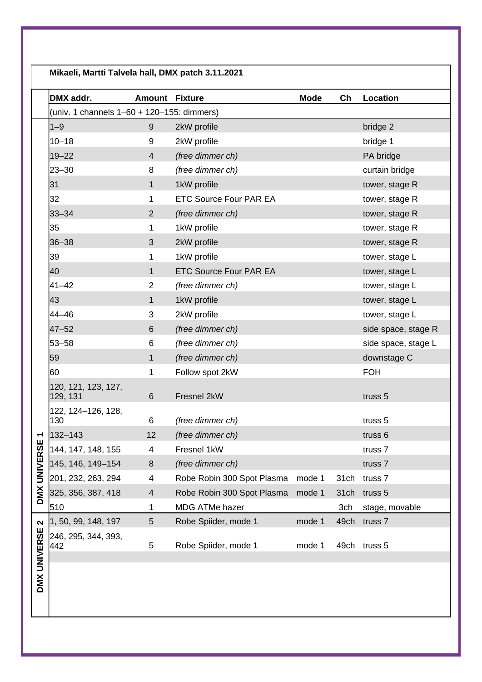|                   | Mikaeli, Martti Talvela hall, DMX patch 3.11.2021 |                |                               |             |                  |                     |
|-------------------|---------------------------------------------------|----------------|-------------------------------|-------------|------------------|---------------------|
|                   | DMX addr.                                         |                | <b>Amount Fixture</b>         | <b>Mode</b> | Ch               | Location            |
|                   | (univ. 1 channels 1–60 + 120–155: dimmers)        |                |                               |             |                  |                     |
|                   | $1 - 9$                                           | 9              | 2kW profile                   |             |                  | bridge 2            |
|                   | $10 - 18$                                         | 9              | 2kW profile                   |             |                  | bridge 1            |
|                   | $19 - 22$                                         | $\overline{4}$ | (free dimmer ch)              |             |                  | PA bridge           |
|                   | 23-30                                             | 8              | (free dimmer ch)              |             |                  | curtain bridge      |
|                   | 31                                                | $\mathbf{1}$   | 1kW profile                   |             |                  | tower, stage R      |
|                   | 32                                                | $\mathbf{1}$   | <b>ETC Source Four PAR EA</b> |             |                  | tower, stage R      |
|                   | $33 - 34$                                         | $\overline{2}$ | (free dimmer ch)              |             |                  | tower, stage R      |
|                   | 35                                                | $\mathbf{1}$   | 1kW profile                   |             |                  | tower, stage R      |
|                   | 36-38                                             | 3              | 2kW profile                   |             |                  | tower, stage R      |
|                   | 39                                                | $\mathbf 1$    | 1kW profile                   |             |                  | tower, stage L      |
|                   | 40                                                | $\mathbf{1}$   | <b>ETC Source Four PAR EA</b> |             |                  | tower, stage L      |
|                   | 41-42                                             | $\overline{2}$ | (free dimmer ch)              |             |                  | tower, stage L      |
|                   | 43                                                | $\mathbf{1}$   | 1kW profile                   |             |                  | tower, stage L      |
|                   | 44-46                                             | 3              | 2kW profile                   |             |                  | tower, stage L      |
|                   | $47 - 52$                                         | 6              | (free dimmer ch)              |             |                  | side space, stage R |
|                   | 53-58                                             | 6              | (free dimmer ch)              |             |                  | side space, stage L |
|                   | 59                                                | $\mathbf{1}$   | (free dimmer ch)              |             |                  | downstage C         |
| H<br>DMX UNIVERSE | 60                                                | $\mathbf 1$    | Follow spot 2kW               |             |                  | <b>FOH</b>          |
|                   | 120, 121, 123, 127,<br>129, 131                   | 6              | Fresnel 2kW                   |             |                  | truss <sub>5</sub>  |
|                   | 122, 124-126, 128,<br>130                         | $6\,$          | (free dimmer ch)              |             |                  | truss 5             |
|                   | 132-143                                           | 12             | (free dimmer ch)              |             |                  | truss 6             |
|                   | 144, 147, 148, 155                                | 4              | Fresnel 1kW                   |             |                  | truss 7             |
|                   | 145, 146, 149-154                                 | 8              | (free dimmer ch)              |             |                  | truss 7             |
|                   | 201, 232, 263, 294                                | 4              | Robe Robin 300 Spot Plasma    | mode 1      |                  | 31ch truss 7        |
|                   | 325, 356, 387, 418                                | 4              | Robe Robin 300 Spot Plasma    | mode 1      | 31 <sub>ch</sub> | truss 5             |
|                   | 510                                               | 1              | MDG ATMe hazer                |             | 3ch              | stage, movable      |
| $\mathbf{\Omega}$ | 1, 50, 99, 148, 197                               | 5              | Robe Spiider, mode 1          | mode 1      | 49ch             | truss 7             |
|                   | 246, 295, 344, 393,<br>442                        | 5              | Robe Spiider, mode 1          | mode 1      |                  | 49ch truss 5        |
| DMX UNIVERSE      |                                                   |                |                               |             |                  |                     |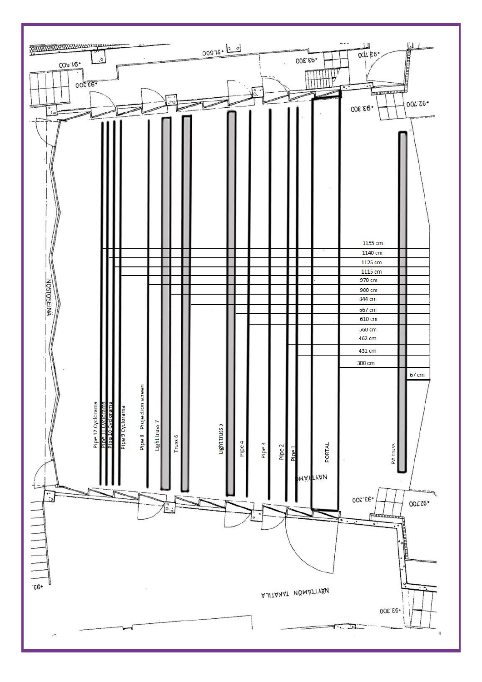